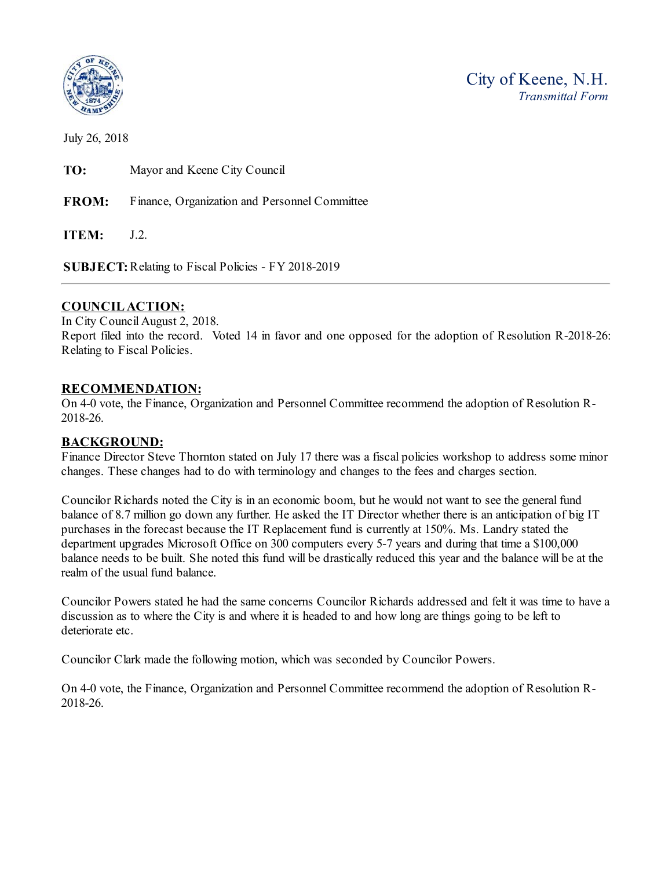

July 26, 2018

**TO:** Mayor and Keene City Council

**FROM:** Finance, Organization and Personnel Committee

**ITEM:** J.2.

**SUBJECT:** Relating to Fiscal Policies - FY 2018-2019

## **COUNCIL ACTION:**

In City Council August 2, 2018. Report filed into the record. Voted 14 in favor and one opposed for the adoption of Resolution R-2018-26: Relating to Fiscal Policies.

## **RECOMMENDATION:**

On 4-0 vote, the Finance, Organization and Personnel Committee recommend the adoption of Resolution R-2018-26.

## **BACKGROUND:**

Finance Director Steve Thornton stated on July 17 there was a fiscal policies workshop to address some minor changes. These changes had to do with terminology and changes to the fees and charges section.

Councilor Richards noted the City is in an economic boom, but he would not want to see the general fund balance of 8.7 million go down any further. He asked the IT Director whether there is an anticipation of big IT purchases in the forecast because the IT Replacement fund is currently at 150%. Ms. Landry stated the department upgrades Microsoft Office on 300 computers every 5-7 years and during that time a \$100,000 balance needs to be built. She noted this fund will be drastically reduced this year and the balance will be at the realm of the usual fund balance.

Councilor Powers stated he had the same concerns Councilor Richards addressed and felt it was time to have a discussion as to where the City is and where it is headed to and how long are things going to be left to deteriorate etc.

Councilor Clark made the following motion, which was seconded by Councilor Powers.

On 4-0 vote, the Finance, Organization and Personnel Committee recommend the adoption of Resolution R-2018-26.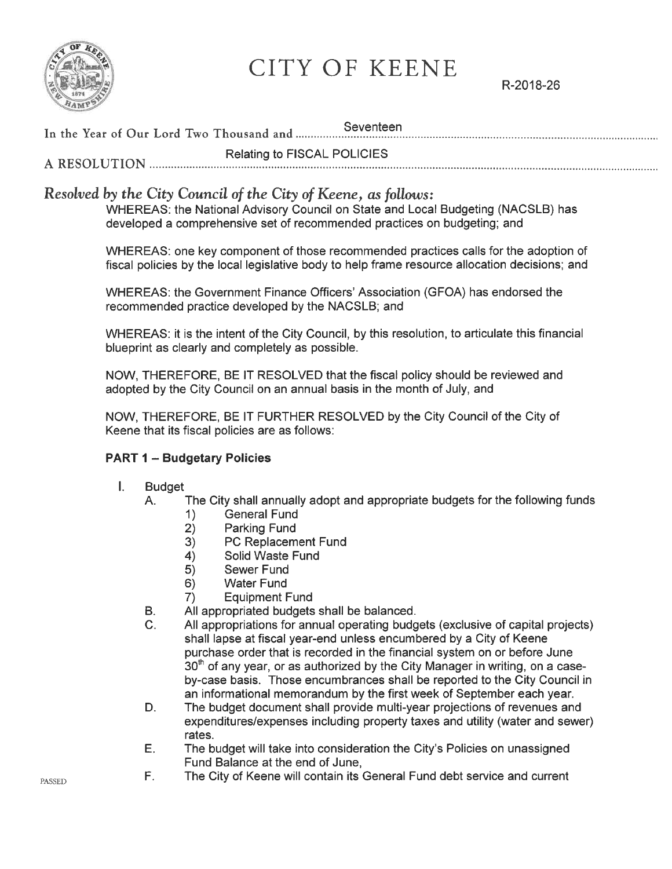

CITY OF KEENE

R-2018-26

Seventeen In the Year of Our Lord Two Thousand and .............

Relating to FISCAL POLICIES A RESOLUTION ........................... 

# Resolved by the City Council of the City of Keene, as follows:

WHEREAS: the National Advisory Council on State and Local Budgeting (NACSLB) has developed a comprehensive set of recommended practices on budgeting; and

WHEREAS: one key component of those recommended practices calls for the adoption of fiscal policies by the local legislative body to help frame resource allocation decisions; and

WHEREAS: the Government Finance Officers' Association (GFOA) has endorsed the recommended practice developed by the NACSLB; and

WHEREAS: it is the intent of the City Council, by this resolution, to articulate this financial blueprint as clearly and completely as possible.

NOW, THEREFORE, BE IT RESOLVED that the fiscal policy should be reviewed and adopted by the City Council on an annual basis in the month of July, and

NOW, THEREFORE, BE IT FURTHER RESOLVED by the City Council of the City of Keene that its fiscal policies are as follows:

## **PART 1 - Budgetary Policies**

 $\mathbf{L}$ **Budget** 

В.

- The City shall annually adopt and appropriate budgets for the following funds Α.
	- **General Fund**  $1)$
	- Parking Fund  $2)$
	- PC Replacement Fund  $3)$
	- Solid Waste Fund  $4)$
	- 5) Sewer Fund
	- **Water Fund** 6)
	- $7)$ **Equipment Fund**
	- All appropriated budgets shall be balanced.
- All appropriations for annual operating budgets (exclusive of capital projects)  $C_{\cdot}$ shall lapse at fiscal year-end unless encumbered by a City of Keene purchase order that is recorded in the financial system on or before June 30<sup>th</sup> of any year, or as authorized by the City Manager in writing, on a caseby-case basis. Those encumbrances shall be reported to the City Council in an informational memorandum by the first week of September each year.
- The budget document shall provide multi-year projections of revenues and D. expenditures/expenses including property taxes and utility (water and sewer) rates.
- Ε. The budget will take into consideration the City's Policies on unassigned Fund Balance at the end of June,
- F. The City of Keene will contain its General Fund debt service and current

**PASSED**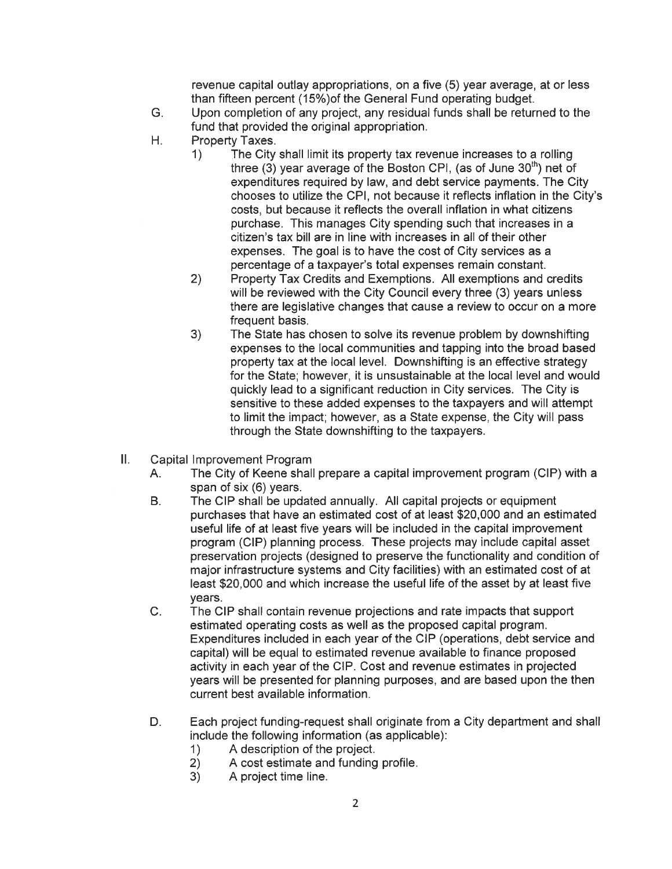revenue capital outlay appropriations, on a five (5) year average, at or less than fifteen percent (15%) of the General Fund operating budget.

- G. Upon completion of any project, any residual funds shall be returned to the fund that provided the original appropriation.
- Η. Property Taxes.
	- $1)$ The City shall limit its property tax revenue increases to a rolling three (3) year average of the Boston CPI, (as of June  $30<sup>th</sup>$ ) net of expenditures required by law, and debt service payments. The City chooses to utilize the CPI, not because it reflects inflation in the City's costs, but because it reflects the overall inflation in what citizens purchase. This manages City spending such that increases in a citizen's tax bill are in line with increases in all of their other expenses. The goal is to have the cost of City services as a percentage of a taxpayer's total expenses remain constant.
	- Property Tax Credits and Exemptions. All exemptions and credits  $2)$ will be reviewed with the City Council every three (3) years unless there are legislative changes that cause a review to occur on a more frequent basis.
	- $3)$ The State has chosen to solve its revenue problem by downshifting expenses to the local communities and tapping into the broad based property tax at the local level. Downshifting is an effective strategy for the State; however, it is unsustainable at the local level and would quickly lead to a significant reduction in City services. The City is sensitive to these added expenses to the taxpayers and will attempt to limit the impact; however, as a State expense, the City will pass through the State downshifting to the taxpayers.
- Ш. Capital Improvement Program
	- $A_{\cdot}$ The City of Keene shall prepare a capital improvement program (CIP) with a span of six (6) years.
	- The CIP shall be updated annually. All capital projects or equipment **B.** purchases that have an estimated cost of at least \$20,000 and an estimated useful life of at least five years will be included in the capital improvement program (CIP) planning process. These projects may include capital asset preservation projects (designed to preserve the functionality and condition of major infrastructure systems and City facilities) with an estimated cost of at least \$20,000 and which increase the useful life of the asset by at least five years.
	- $C_{1}$ The CIP shall contain revenue projections and rate impacts that support estimated operating costs as well as the proposed capital program. Expenditures included in each year of the CIP (operations, debt service and capital) will be equal to estimated revenue available to finance proposed activity in each year of the CIP. Cost and revenue estimates in projected years will be presented for planning purposes, and are based upon the then current best available information.
	- Each project funding-request shall originate from a City department and shall D. include the following information (as applicable):
		- A description of the project.  $1)$
		- $2)$ A cost estimate and funding profile.
		- $3)$ A project time line.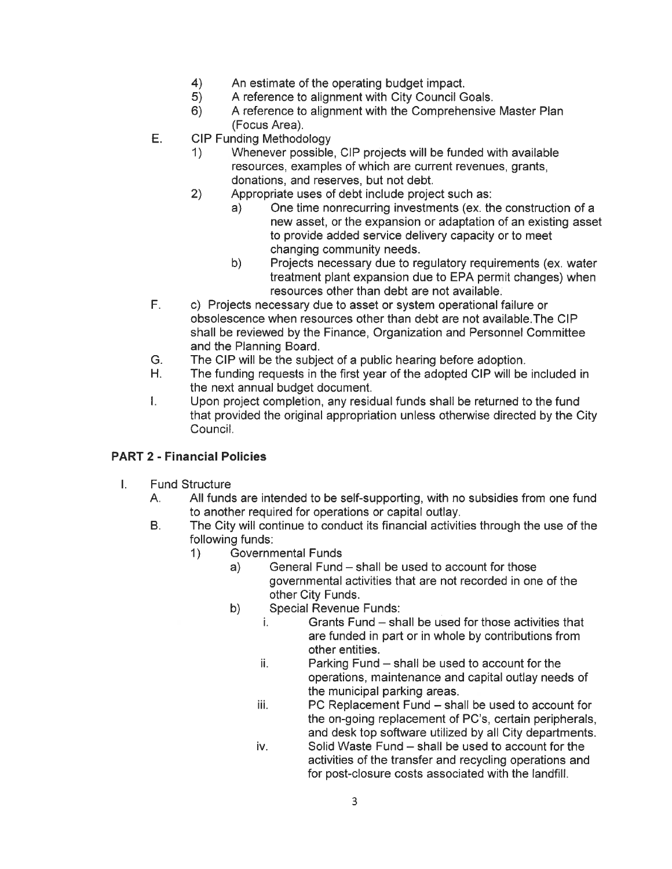- $4)$ An estimate of the operating budget impact.
- $5)$ A reference to alignment with City Council Goals.
- $6)$ A reference to alignment with the Comprehensive Master Plan (Focus Area).
- Ε. **CIP Funding Methodology** 
	- 1) Whenever possible, CIP projects will be funded with available resources, examples of which are current revenues, grants, donations, and reserves, but not debt.
	- $2)$ Appropriate uses of debt include project such as:
		- One time nonrecurring investments (ex. the construction of a  $a)$ new asset, or the expansion or adaptation of an existing asset to provide added service delivery capacity or to meet changing community needs.
			- Projects necessary due to regulatory requirements (ex. water b) treatment plant expansion due to EPA permit changes) when resources other than debt are not available.
- $F_{\perp}$ c) Projects necessary due to asset or system operational failure or obsolescence when resources other than debt are not available. The CIP shall be reviewed by the Finance, Organization and Personnel Committee and the Planning Board.
- The CIP will be the subject of a public hearing before adoption. G.
- H. The funding requests in the first year of the adopted CIP will be included in the next annual budget document.
- Upon project completion, any residual funds shall be returned to the fund L. that provided the original appropriation unless otherwise directed by the City Council.

## **PART 2 - Financial Policies**

- $\mathbf{L}$ **Fund Structure** 
	- All funds are intended to be self-supporting, with no subsidies from one fund А. to another required for operations or capital outlay.
	- The City will continue to conduct its financial activities through the use of the В. following funds:
		- $1)$ **Governmental Funds** 
			- General Fund shall be used to account for those  $a)$ governmental activities that are not recorded in one of the other City Funds.
			- **Special Revenue Funds:** b)
				- i. Grants Fund - shall be used for those activities that are funded in part or in whole by contributions from other entities.
				- ii. Parking Fund - shall be used to account for the operations, maintenance and capital outlay needs of the municipal parking areas.
				- iii. PC Replacement Fund - shall be used to account for the on-going replacement of PC's, certain peripherals, and desk top software utilized by all City departments.
				- Solid Waste Fund shall be used to account for the iv. activities of the transfer and recycling operations and for post-closure costs associated with the landfill.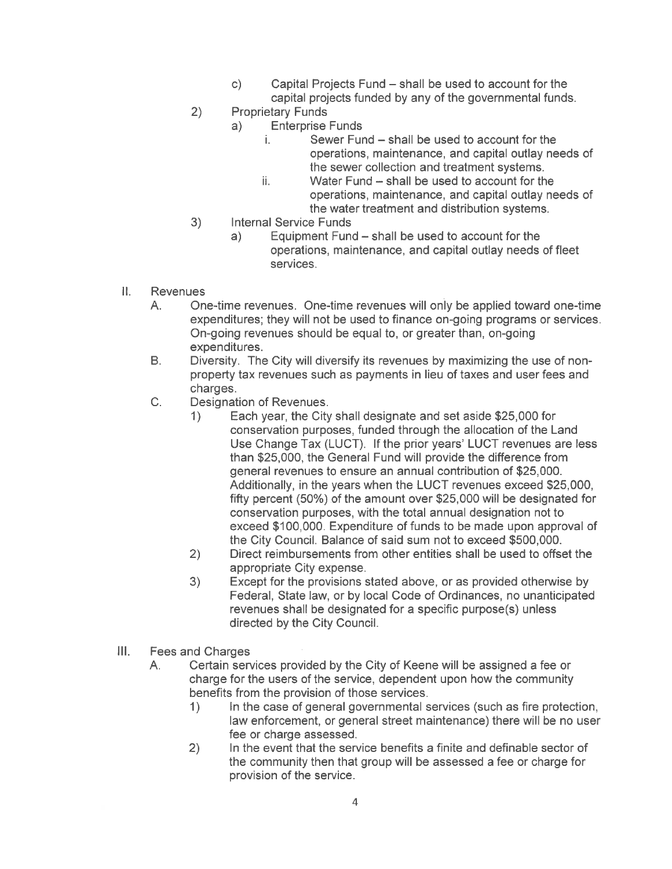- $\mathsf{C}$ Capital Projects Fund – shall be used to account for the capital projects funded by any of the governmental funds.
- $2)$ **Proprietary Funds** 
	- $a)$ **Enterprise Funds** 
		- i. Sewer Fund – shall be used to account for the operations, maintenance, and capital outlay needs of the sewer collection and treatment systems.
		- ii. Water Fund - shall be used to account for the operations, maintenance, and capital outlay needs of the water treatment and distribution systems.
- $3)$ **Internal Service Funds** 
	- Equipment Fund shall be used to account for the  $a)$ operations, maintenance, and capital outlay needs of fleet services.
- 11. **Revenues** 
	- One-time revenues. One-time revenues will only be applied toward one-time  $A_{n}$ expenditures; they will not be used to finance on-going programs or services. On-going revenues should be equal to, or greater than, on-going expenditures.
	- Diversity. The City will diversify its revenues by maximizing the use of non-В. property tax revenues such as payments in lieu of taxes and user fees and charges.
	- $C_{1}$ Designation of Revenues.
		- $1)$ Each year, the City shall designate and set aside \$25,000 for conservation purposes, funded through the allocation of the Land Use Change Tax (LUCT). If the prior years' LUCT revenues are less than \$25,000, the General Fund will provide the difference from general revenues to ensure an annual contribution of \$25,000. Additionally, in the years when the LUCT revenues exceed \$25,000, fifty percent (50%) of the amount over \$25,000 will be designated for conservation purposes, with the total annual designation not to exceed \$100,000. Expenditure of funds to be made upon approval of the City Council. Balance of said sum not to exceed \$500,000.
		- Direct reimbursements from other entities shall be used to offset the  $2)$ appropriate City expense.
		- Except for the provisions stated above, or as provided otherwise by  $3)$ Federal, State law, or by local Code of Ordinances, no unanticipated revenues shall be designated for a specific purpose(s) unless directed by the City Council.
- $III.$ **Fees and Charges** 
	- Certain services provided by the City of Keene will be assigned a fee or Α. charge for the users of the service, dependent upon how the community benefits from the provision of those services.
		- In the case of general governmental services (such as fire protection,  $\left( \left| \right| \right)$ law enforcement, or general street maintenance) there will be no user fee or charge assessed.
		- $2)$ In the event that the service benefits a finite and definable sector of the community then that group will be assessed a fee or charge for provision of the service.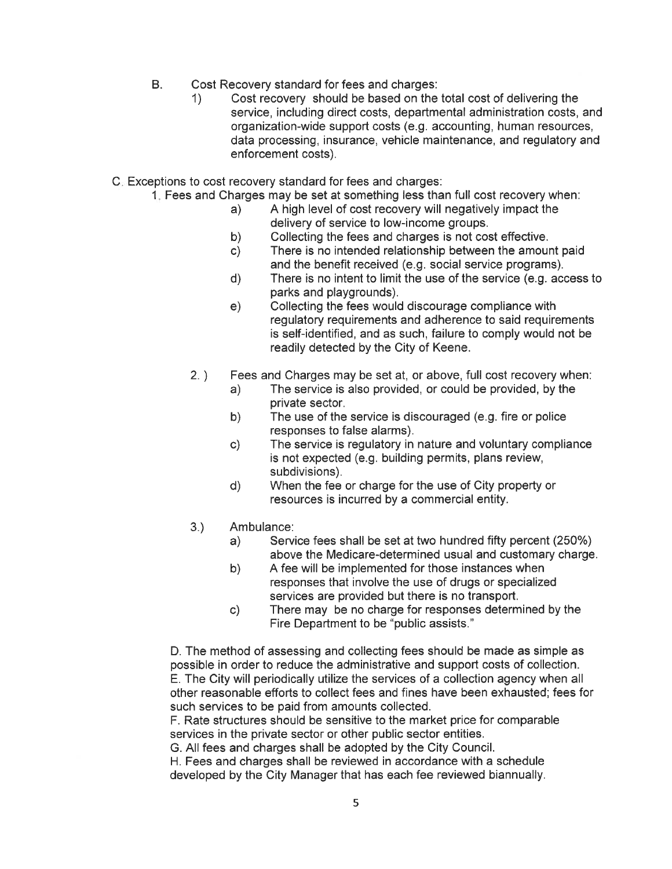- $B<sub>1</sub>$ Cost Recovery standard for fees and charges:
	- Cost recovery should be based on the total cost of delivering the  $\left( \right)$ service, including direct costs, departmental administration costs, and organization-wide support costs (e.g. accounting, human resources, data processing, insurance, vehicle maintenance, and regulatory and enforcement costs).
- C. Exceptions to cost recovery standard for fees and charges:
	- 1. Fees and Charges may be set at something less than full cost recovery when:
		- A high level of cost recovery will negatively impact the  $a)$ delivery of service to low-income groups.
		- Collecting the fees and charges is not cost effective. b)
		- There is no intended relationship between the amount paid  $c)$ and the benefit received (e.g. social service programs).
		- There is no intent to limit the use of the service (e.g. access to  $\mathsf{d}$ parks and playgrounds).
		- Collecting the fees would discourage compliance with  $e)$ regulatory requirements and adherence to said requirements is self-identified, and as such, failure to comply would not be readily detected by the City of Keene.
		- $2.$ ) Fees and Charges may be set at, or above, full cost recovery when:
			- The service is also provided, or could be provided, by the  $a)$ private sector.
			- The use of the service is discouraged (e.g. fire or police  $b)$ responses to false alarms).
			- c) The service is regulatory in nature and voluntary compliance is not expected (e.g. building permits, plans review, subdivisions).
			- When the fee or charge for the use of City property or d) resources is incurred by a commercial entity.
		- $3.)$ Ambulance:
			- Service fees shall be set at two hundred fifty percent (250%) a) above the Medicare-determined usual and customary charge.
			- b) A fee will be implemented for those instances when responses that involve the use of drugs or specialized services are provided but there is no transport.
			- There may be no charge for responses determined by the  $c)$ Fire Department to be "public assists."

D. The method of assessing and collecting fees should be made as simple as possible in order to reduce the administrative and support costs of collection. E. The City will periodically utilize the services of a collection agency when all other reasonable efforts to collect fees and fines have been exhausted; fees for such services to be paid from amounts collected.

F. Rate structures should be sensitive to the market price for comparable services in the private sector or other public sector entities.

G. All fees and charges shall be adopted by the City Council.

H. Fees and charges shall be reviewed in accordance with a schedule developed by the City Manager that has each fee reviewed biannually.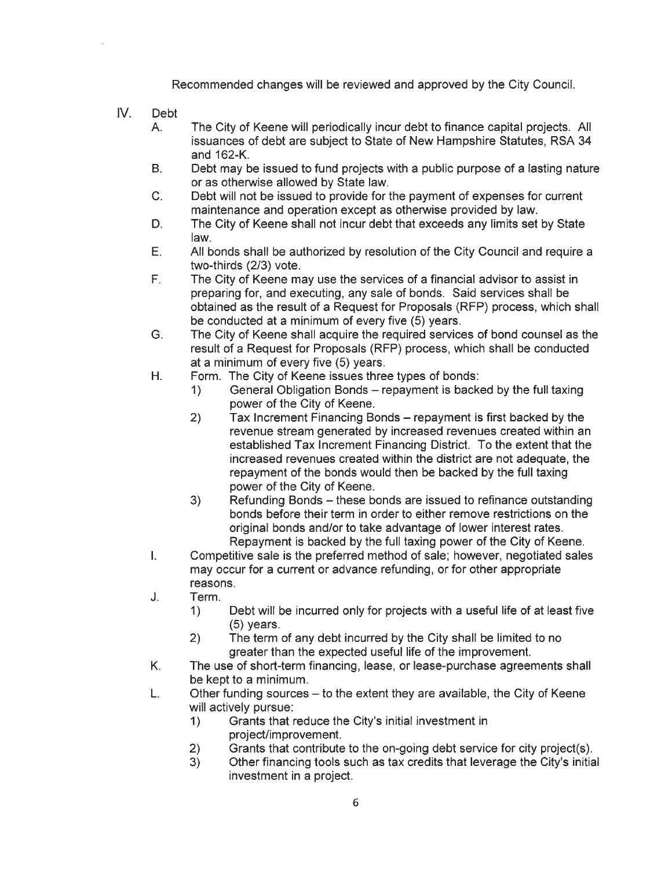Recommended changes will be reviewed and approved by the City Council.

- $IV.$ **Debt** 
	- The City of Keene will periodically incur debt to finance capital projects. All  $A<sub>1</sub>$ issuances of debt are subject to State of New Hampshire Statutes, RSA 34 and 162-K.
	- $B<sub>1</sub>$ Debt may be issued to fund projects with a public purpose of a lasting nature or as otherwise allowed by State law.
	- Debt will not be issued to provide for the payment of expenses for current  $C_{1}$ maintenance and operation except as otherwise provided by law.
	- The City of Keene shall not incur debt that exceeds any limits set by State D. law.
	- E. All bonds shall be authorized by resolution of the City Council and require a two-thirds (2/3) vote.
	- $F_{\perp}$ The City of Keene may use the services of a financial advisor to assist in preparing for, and executing, any sale of bonds. Said services shall be obtained as the result of a Request for Proposals (RFP) process, which shall be conducted at a minimum of every five (5) years.
	- G. The City of Keene shall acquire the required services of bond counsel as the result of a Request for Proposals (RFP) process, which shall be conducted at a minimum of every five (5) years.
	- Η. Form. The City of Keene issues three types of bonds:
		- General Obligation Bonds repayment is backed by the full taxing  $\left\langle \right\rangle$ power of the City of Keene.
			- $2)$ Tax Increment Financing Bonds – repayment is first backed by the revenue stream generated by increased revenues created within an established Tax Increment Financing District. To the extent that the increased revenues created within the district are not adequate, the repayment of the bonds would then be backed by the full taxing power of the City of Keene.
		- Refunding Bonds these bonds are issued to refinance outstanding  $3)$ bonds before their term in order to either remove restrictions on the original bonds and/or to take advantage of lower interest rates. Repayment is backed by the full taxing power of the City of Keene.
	- Competitive sale is the preferred method of sale; however, negotiated sales  $\mathbf{L}$ may occur for a current or advance refunding, or for other appropriate reasons.
	- J. Term.
		- Debt will be incurred only for projects with a useful life of at least five  $1)$  $(5)$  years.
		- $(2)$ The term of any debt incurred by the City shall be limited to no greater than the expected useful life of the improvement.
	- K. The use of short-term financing, lease, or lease-purchase agreements shall be kept to a minimum.
	- L. Other funding sources – to the extent they are available, the City of Keene will actively pursue:
		- Grants that reduce the City's initial investment in  $1)$ project/improvement.
		- Grants that contribute to the on-going debt service for city project(s).  $2)$
		- $3)$ Other financing tools such as tax credits that leverage the City's initial investment in a project.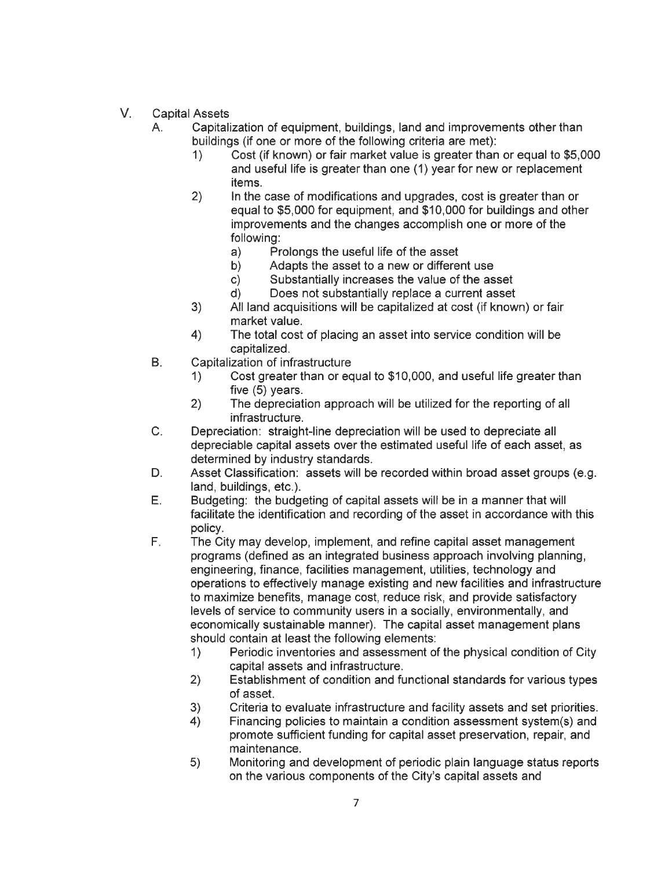- $V_{\perp}$ **Capital Assets** 
	- А. Capitalization of equipment, buildings, land and improvements other than buildings (if one or more of the following criteria are met):
		- Cost (if known) or fair market value is greater than or equal to \$5,000 1) and useful life is greater than one (1) year for new or replacement items.
		- $2)$ In the case of modifications and upgrades, cost is greater than or equal to \$5,000 for equipment, and \$10,000 for buildings and other improvements and the changes accomplish one or more of the following:
			- a) Prolongs the useful life of the asset
			- Adapts the asset to a new or different use b)
			- Substantially increases the value of the asset c)
			- Does not substantially replace a current asset d)
		- $3)$ All land acquisitions will be capitalized at cost (if known) or fair market value.
		- $4)$ The total cost of placing an asset into service condition will be capitalized.
	- **B.** Capitalization of infrastructure
		- Cost greater than or equal to \$10,000, and useful life greater than 1) five (5) years.
		- $2)$ The depreciation approach will be utilized for the reporting of all infrastructure.
	- $C_{1}$ Depreciation: straight-line depreciation will be used to depreciate all depreciable capital assets over the estimated useful life of each asset, as determined by industry standards.
	- Asset Classification: assets will be recorded within broad asset groups (e.g. D. land. buildings. etc.).
	- E. Budgeting: the budgeting of capital assets will be in a manner that will facilitate the identification and recording of the asset in accordance with this policy.
	- E. The City may develop, implement, and refine capital asset management programs (defined as an integrated business approach involving planning, engineering, finance, facilities management, utilities, technology and operations to effectively manage existing and new facilities and infrastructure to maximize benefits, manage cost, reduce risk, and provide satisfactory levels of service to community users in a socially, environmentally, and economically sustainable manner). The capital asset management plans should contain at least the following elements:
		- Periodic inventories and assessment of the physical condition of City  $1)$ capital assets and infrastructure.
		- $2)$ Establishment of condition and functional standards for various types of asset.
		- $3)$ Criteria to evaluate infrastructure and facility assets and set priorities.
		- Financing policies to maintain a condition assessment system(s) and 4) promote sufficient funding for capital asset preservation, repair, and maintenance.
		- Monitoring and development of periodic plain language status reports  $5)$ on the various components of the City's capital assets and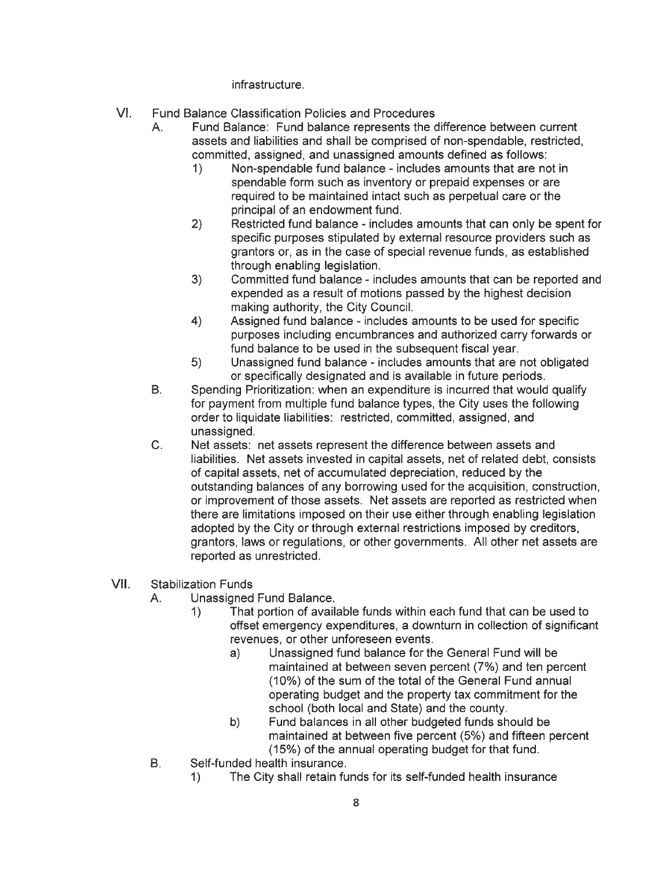infrastructure.

- $VI.$ **Fund Balance Classification Policies and Procedures** 
	- Fund Balance: Fund balance represents the difference between current  $\mathsf{A}_{\cdot}$ assets and liabilities and shall be comprised of non-spendable, restricted, committed, assigned, and unassigned amounts defined as follows:
		- $1)$ Non-spendable fund balance - includes amounts that are not in spendable form such as inventory or prepaid expenses or are required to be maintained intact such as perpetual care or the principal of an endowment fund.
		- Restricted fund balance includes amounts that can only be spent for  $2)$ specific purposes stipulated by external resource providers such as grantors or, as in the case of special revenue funds, as established through enabling legislation.
		- $3)$ Committed fund balance - includes amounts that can be reported and expended as a result of motions passed by the highest decision making authority, the City Council.
		- Assigned fund balance includes amounts to be used for specific  $4)$ purposes including encumbrances and authorized carry forwards or fund balance to be used in the subsequent fiscal year.
		- Unassigned fund balance includes amounts that are not obligated  $5)$ or specifically designated and is available in future periods.
	- $B.$ Spending Prioritization: when an expenditure is incurred that would qualify for payment from multiple fund balance types, the City uses the following order to liquidate liabilities: restricted, committed, assigned, and unassigned.
	- $C_{-}$ Net assets: net assets represent the difference between assets and liabilities. Net assets invested in capital assets, net of related debt, consists of capital assets, net of accumulated depreciation, reduced by the outstanding balances of any borrowing used for the acquisition, construction, or improvement of those assets. Net assets are reported as restricted when there are limitations imposed on their use either through enabling legislation adopted by the City or through external restrictions imposed by creditors, grantors, laws or regulations, or other governments. All other net assets are reported as unrestricted.
- VII. **Stabilization Funds** 
	- Unassigned Fund Balance.  $A_{-}$ 
		- That portion of available funds within each fund that can be used to  $1)$ offset emergency expenditures, a downturn in collection of significant revenues, or other unforeseen events.
			- Unassigned fund balance for the General Fund will be  $a)$ maintained at between seven percent (7%) and ten percent (10%) of the sum of the total of the General Fund annual operating budget and the property tax commitment for the school (both local and State) and the county.
			- Fund balances in all other budgeted funds should be b) maintained at between five percent (5%) and fifteen percent (15%) of the annual operating budget for that fund.
	- Self-funded health insurance. **B.** 
		- The City shall retain funds for its self-funded health insurance  $\left\langle \right\rangle$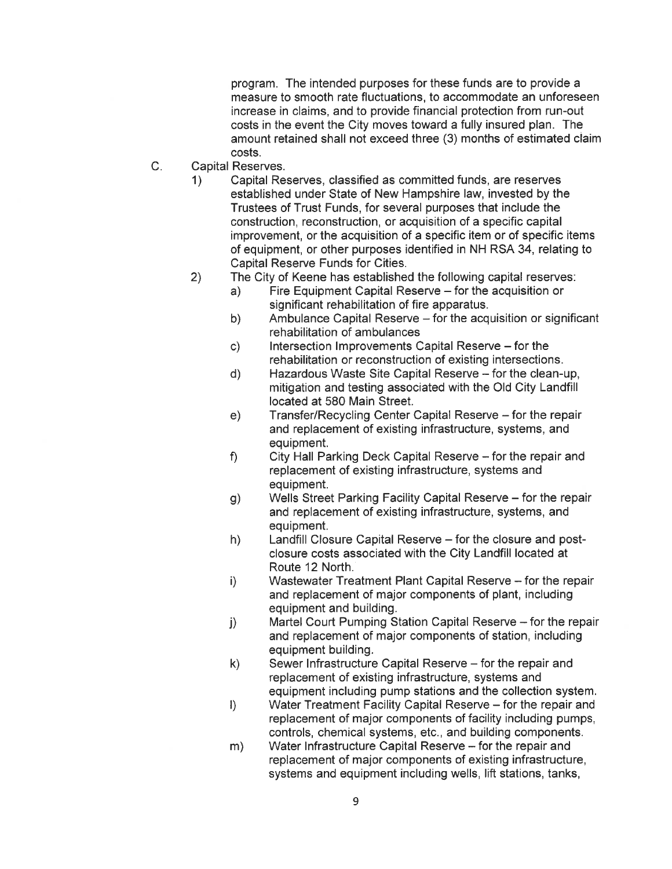program. The intended purposes for these funds are to provide a measure to smooth rate fluctuations, to accommodate an unforeseen increase in claims, and to provide financial protection from run-out costs in the event the City moves toward a fully insured plan. The amount retained shall not exceed three (3) months of estimated claim costs.

- $C_{1}$ **Capital Reserves.** 
	- $1)$ Capital Reserves, classified as committed funds, are reserves established under State of New Hampshire law, invested by the Trustees of Trust Funds, for several purposes that include the construction, reconstruction, or acquisition of a specific capital improvement, or the acquisition of a specific item or of specific items of equipment, or other purposes identified in NH RSA 34, relating to Capital Reserve Funds for Cities.
	- $2)$ The City of Keene has established the following capital reserves:
		- Fire Equipment Capital Reserve for the acquisition or a) significant rehabilitation of fire apparatus.
		- Ambulance Capital Reserve for the acquisition or significant b) rehabilitation of ambulances
		- Intersection Improvements Capital Reserve for the  $c)$ rehabilitation or reconstruction of existing intersections.
		- Hazardous Waste Site Capital Reserve for the clean-up,  $d)$ mitigation and testing associated with the Old City Landfill located at 580 Main Street.
		- $e)$ Transfer/Recycling Center Capital Reserve - for the repair and replacement of existing infrastructure, systems, and equipment.
		- $f$ City Hall Parking Deck Capital Reserve - for the repair and replacement of existing infrastructure, systems and equipment.
		- Wells Street Parking Facility Capital Reserve for the repair  $g)$ and replacement of existing infrastructure, systems, and equipment.
		- Landfill Closure Capital Reserve for the closure and post $h)$ closure costs associated with the City Landfill located at Route 12 North.
		- Wastewater Treatment Plant Capital Reserve for the repair  $\vert \cdot \rangle$ and replacement of major components of plant, including equipment and building.
		- Martel Court Pumping Station Capital Reserve for the repair  $\vert$ ) and replacement of major components of station, including equipment building.
		- Sewer Infrastructure Capital Reserve for the repair and  $k)$ replacement of existing infrastructure, systems and equipment including pump stations and the collection system.
		- $\left| \right\rangle$ Water Treatment Facility Capital Reserve – for the repair and replacement of major components of facility including pumps, controls, chemical systems, etc., and building components.
		- Water Infrastructure Capital Reserve for the repair and  $m)$ replacement of major components of existing infrastructure, systems and equipment including wells, lift stations, tanks,